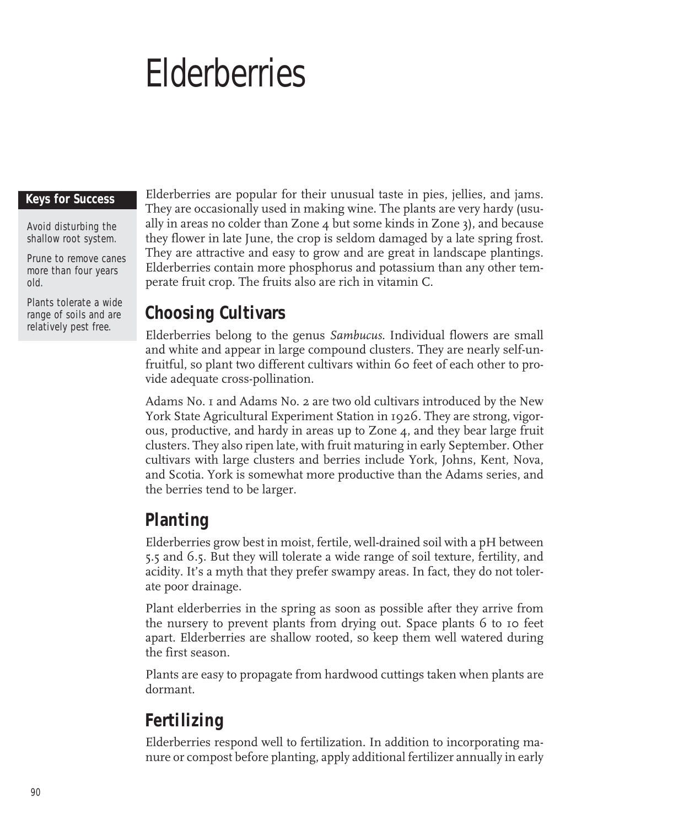# **Elderberries**

#### **Keys for Success**

Avoid disturbing the shallow root system.

Prune to remove canes more than four years old.

Plants tolerate a wide range of soils and are relatively pest free.

Elderberries are popular for their unusual taste in pies, jellies, and jams. They are occasionally used in making wine. The plants are very hardy (usually in areas no colder than Zone  $4$  but some kinds in Zone 3), and because they flower in late June, the crop is seldom damaged by a late spring frost. They are attractive and easy to grow and are great in landscape plantings. Elderberries contain more phosphorus and potassium than any other temperate fruit crop. The fruits also are rich in vitamin C.

## **Choosing Cultivars**

Elderberries belong to the genus *Sambucus*. Individual flowers are small and white and appear in large compound clusters. They are nearly self-unfruitful, so plant two different cultivars within 60 feet of each other to provide adequate cross-pollination.

Adams No. 1 and Adams No. 2 are two old cultivars introduced by the New York State Agricultural Experiment Station in 1926. They are strong, vigorous, productive, and hardy in areas up to Zone 4, and they bear large fruit clusters. They also ripen late, with fruit maturing in early September. Other cultivars with large clusters and berries include York, Johns, Kent, Nova, and Scotia. York is somewhat more productive than the Adams series, and the berries tend to be larger.

# **Planting**

Elderberries grow best in moist, fertile, well-drained soil with a pH between 5.5 and 6.5. But they will tolerate a wide range of soil texture, fertility, and acidity. It's a myth that they prefer swampy areas. In fact, they do not tolerate poor drainage.

Plant elderberries in the spring as soon as possible after they arrive from the nursery to prevent plants from drying out. Space plants 6 to 10 feet apart. Elderberries are shallow rooted, so keep them well watered during the first season.

Plants are easy to propagate from hardwood cuttings taken when plants are dormant.

# **Fertilizing**

Elderberries respond well to fertilization. In addition to incorporating manure or compost before planting, apply additional fertilizer annually in early